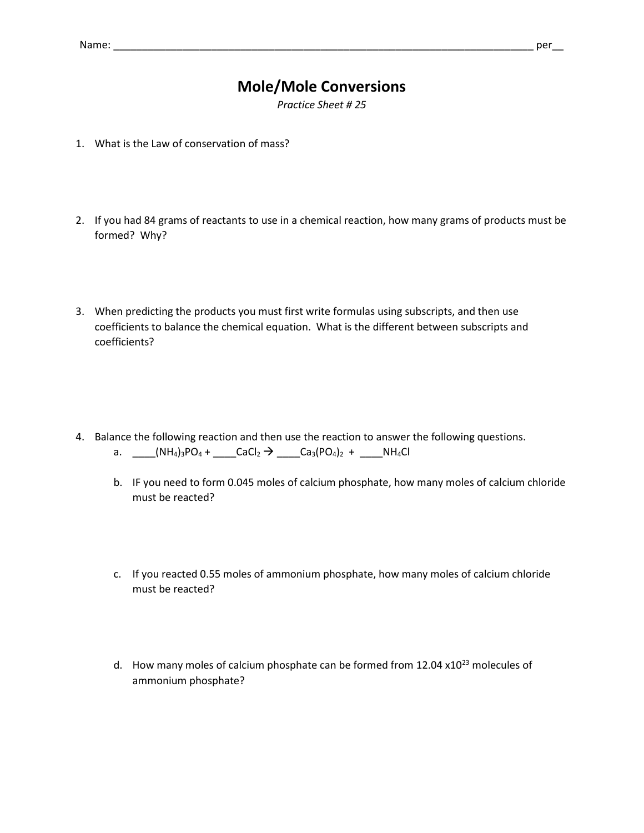## **Mole/Mole Conversions**

*Practice Sheet # 25*

- 1. What is the Law of conservation of mass?
- 2. If you had 84 grams of reactants to use in a chemical reaction, how many grams of products must be formed? Why?
- 3. When predicting the products you must first write formulas using subscripts, and then use coefficients to balance the chemical equation. What is the different between subscripts and coefficients?
- 4. Balance the following reaction and then use the reaction to answer the following questions.
	- a. \_\_\_(NH<sub>4</sub>)<sub>3</sub>PO<sub>4</sub> + \_\_\_\_CaCl<sub>2</sub>  $\rightarrow$  \_\_\_Ca<sub>3</sub>(PO<sub>4</sub>)<sub>2</sub> + \_\_\_\_NH<sub>4</sub>Cl
	- b. IF you need to form 0.045 moles of calcium phosphate, how many moles of calcium chloride must be reacted?
	- c. If you reacted 0.55 moles of ammonium phosphate, how many moles of calcium chloride must be reacted?
	- d. How many moles of calcium phosphate can be formed from  $12.04 \times 10^{23}$  molecules of ammonium phosphate?